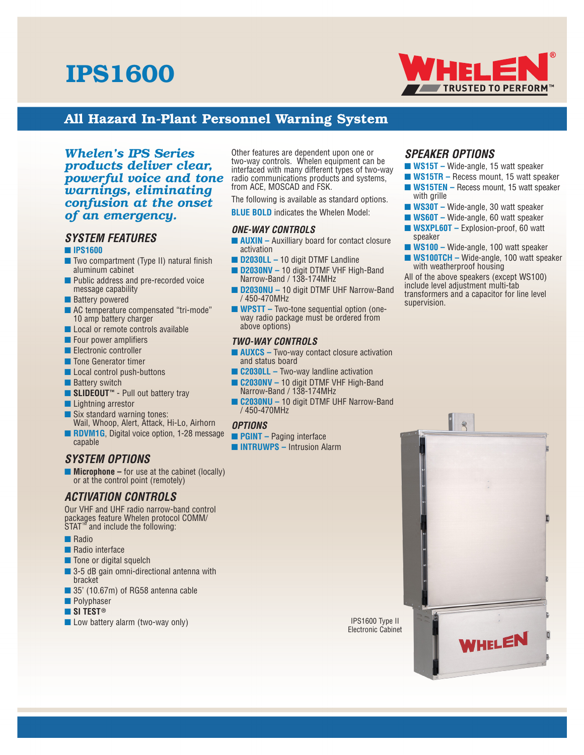# IPS1600



# All Hazard In-Plant Personnel Warning System

## *Whelen's IPS Series products deliver clear, powerful voice and tone warnings, eliminating confusion at the onset of an emergency.*

## *SYSTEM FEATURES*

## ■ **IPS1600**

- Two compartment (Type II) natural finish aluminum cabinet
- Public address and pre-recorded voice message capability
- Battery powered
- AC temperature compensated "tri-mode" 10 amp battery charger
- Local or remote controls available
- Four power amplifiers
- Electronic controller
- Tone Generator timer
- Local control push-buttons
- Battery switch
- **SLIDEOUT<sup>™</sup>** Pull out battery tray
- Lightning arrestor
- Six standard warning tones: Wail, Whoop, Alert, Attack, Hi-Lo, Airhorn
- **RDVM1G**, Digital voice option, 1-28 message capable

## *SYSTEM OPTIONS*

■ **Microphone** – for use at the cabinet (locally) or at the control point (remotely)

# *ACTIVATION CONTROLS*

Our VHF and UHF radio narrow-band control packages feature Whelen protocol COMM/ STAT™ and include the following:

- Radio
- Radio interface
- Tone or digital squelch
- 3-5 dB gain omni-directional antenna with bracket
- 35' (10.67m) of RG58 antenna cable
- Polyphaser
- **SI TEST®**
- Low battery alarm (two-way only)

Other features are dependent upon one or two-way controls. Whelen equipment can be interfaced with many different types of two-way radio communications products and systems, from ACE, MOSCAD and FSK.

The following is available as standard options.

**BLUE BOLD** indicates the Whelen Model:

## *ONE-WAY CONTROLS*

- **AUXIN** Auxilliary board for contact closure activation
- **D2030LL –** 10 digit DTMF Landline
- **D2030NV –** 10 digit DTMF VHF High-Band Narrow-Band / 138-174MHz
- **D2030NU –** 10 digit DTMF UHF Narrow-Band / 450-470MHz
- **WPSTT –** Two-tone sequential option (oneway radio package must be ordered from above options)

## *TWO-WAY CONTROLS*

- **AUXCS** Two-way contact closure activation and status board
- **C2030LL –** Two-way landline activation
- **C2030NV –** 10 digit DTMF VHF High-Band Narrow-Band / 138-174MHz
- **C2030NU –** 10 digit DTMF UHF Narrow-Band / 450-470MHz

## *OPTIONS*

- **PGINT** Paging interface
- **INTRUWPS –** Intrusion Alarm

# *SPEAKER OPTIONS*

- **WS15T** Wide-angle, 15 watt speaker
- **WS15TR** Recess mount, 15 watt speaker
- **WS15TEN** Recess mount, 15 watt speaker with grille
- **WS30T** Wide-angle, 30 watt speaker
- **WS60T –** Wide-angle, 60 watt speaker
- **WSXPL60T –** Explosion-proof, 60 watt speaker
- **WS100 –** Wide-angle, 100 watt speaker ■ **WS100TCH –** Wide-angle, 100 watt speaker

with weatherproof housing All of the above speakers (except WS100) include level adjustment multi-tab transformers and a capacitor for line level supervision.

IPS1600 Type II Electronic Cabinet